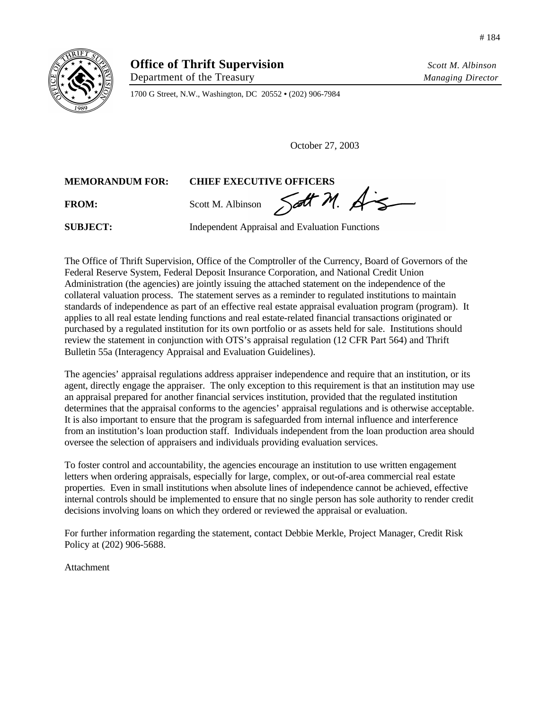

Department of the Treasury *Managing Director*

1700 G Street, N.W., Washington, DC 20552 **•** (202) 906-7984

October 27, 2003

## **MEMORANDUM FOR: CHIEF EXECUTIVE OFFICERS**

FROM: Scott M. Albinson Sett M. A

**SUBJECT:** Independent Appraisal and Evaluation Functions

The Office of Thrift Supervision, Office of the Comptroller of the Currency, Board of Governors of the Federal Reserve System, Federal Deposit Insurance Corporation, and National Credit Union Administration (the agencies) are jointly issuing the attached statement on the independence of the collateral valuation process. The statement serves as a reminder to regulated institutions to maintain standards of independence as part of an effective real estate appraisal evaluation program (program). It applies to all real estate lending functions and real estate-related financial transactions originated or purchased by a regulated institution for its own portfolio or as assets held for sale. Institutions should review the statement in conjunction with OTS's appraisal regulation (12 CFR Part 564) and Thrift Bulletin 55a (Interagency Appraisal and Evaluation Guidelines).

The agencies' appraisal regulations address appraiser independence and require that an institution, or its agent, directly engage the appraiser. The only exception to this requirement is that an institution may use an appraisal prepared for another financial services institution, provided that the regulated institution determines that the appraisal conforms to the agencies' appraisal regulations and is otherwise acceptable. It is also important to ensure that the program is safeguarded from internal influence and interference from an institution's loan production staff. Individuals independent from the loan production area should oversee the selection of appraisers and individuals providing evaluation services.

To foster control and accountability, the agencies encourage an institution to use written engagement letters when ordering appraisals, especially for large, complex, or out-of-area commercial real estate properties. Even in small institutions when absolute lines of independence cannot be achieved, effective internal controls should be implemented to ensure that no single person has sole authority to render credit decisions involving loans on which they ordered or reviewed the appraisal or evaluation.

For further information regarding the statement, contact Debbie Merkle, Project Manager, Credit Risk Policy at (202) 906-5688.

Attachment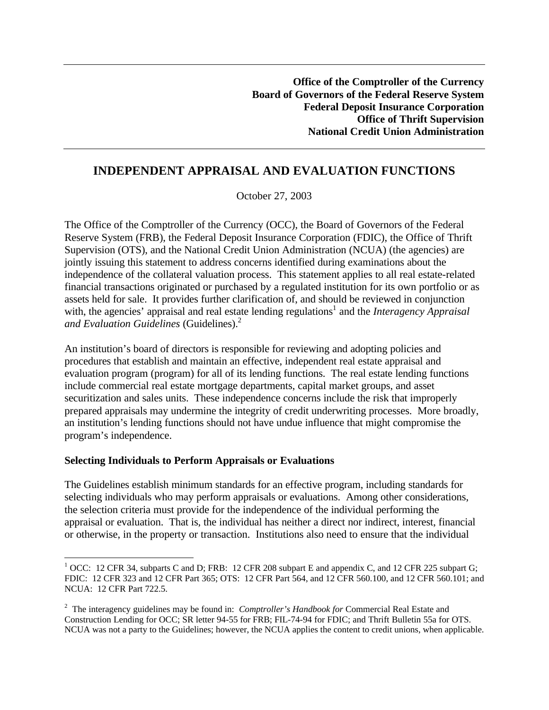# **INDEPENDENT APPRAISAL AND EVALUATION FUNCTIONS**

October 27, 2003

The Office of the Comptroller of the Currency (OCC), the Board of Governors of the Federal Reserve System (FRB), the Federal Deposit Insurance Corporation (FDIC), the Office of Thrift Supervision (OTS), and the National Credit Union Administration (NCUA) (the agencies) are jointly issuing this statement to address concerns identified during examinations about the independence of the collateral valuation process. This statement applies to all real estate-related financial transactions originated or purchased by a regulated institution for its own portfolio or as assets held for sale. It provides further clarification of, and should be reviewed in conjunction with, the agencies' appraisal and real estate lending regulations<sup>1</sup> and the *Interagency Appraisal and Evaluation Guidelines (Guidelines).*<sup>2</sup>

An institution's board of directors is responsible for reviewing and adopting policies and procedures that establish and maintain an effective, independent real estate appraisal and evaluation program (program) for all of its lending functions. The real estate lending functions include commercial real estate mortgage departments, capital market groups, and asset securitization and sales units. These independence concerns include the risk that improperly prepared appraisals may undermine the integrity of credit underwriting processes. More broadly, an institution's lending functions should not have undue influence that might compromise the program's independence.

### **Selecting Individuals to Perform Appraisals or Evaluations**

 $\overline{a}$ 

The Guidelines establish minimum standards for an effective program, including standards for selecting individuals who may perform appraisals or evaluations. Among other considerations, the selection criteria must provide for the independence of the individual performing the appraisal or evaluation. That is, the individual has neither a direct nor indirect, interest, financial or otherwise, in the property or transaction. Institutions also need to ensure that the individual

 $1$  OCC: 12 CFR 34, subparts C and D; FRB: 12 CFR 208 subpart E and appendix C, and 12 CFR 225 subpart G; FDIC: 12 CFR 323 and 12 CFR Part 365; OTS: 12 CFR Part 564, and 12 CFR 560.100, and 12 CFR 560.101; and NCUA: 12 CFR Part 722.5.

<sup>2</sup> The interagency guidelines may be found in: *Comptroller's Handbook for* Commercial Real Estate and Construction Lending for OCC; SR letter 94-55 for FRB; FIL-74-94 for FDIC; and Thrift Bulletin 55a for OTS. NCUA was not a party to the Guidelines; however, the NCUA applies the content to credit unions, when applicable.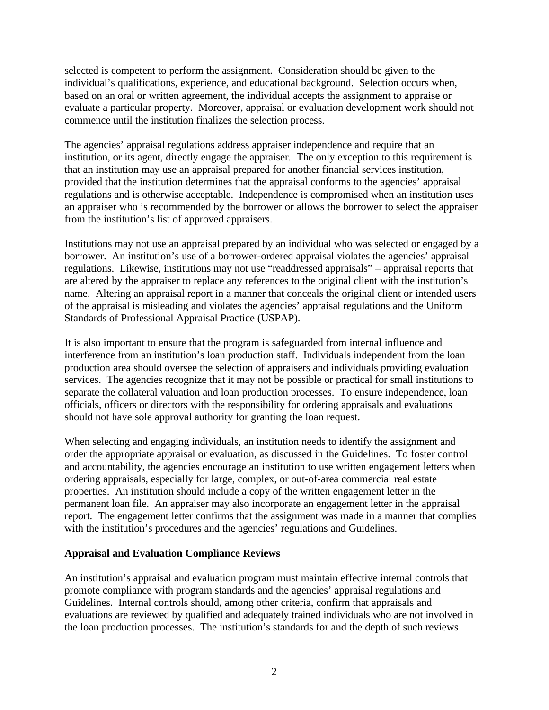selected is competent to perform the assignment. Consideration should be given to the individual's qualifications, experience, and educational background. Selection occurs when, based on an oral or written agreement, the individual accepts the assignment to appraise or evaluate a particular property. Moreover, appraisal or evaluation development work should not commence until the institution finalizes the selection process.

The agencies' appraisal regulations address appraiser independence and require that an institution, or its agent, directly engage the appraiser. The only exception to this requirement is that an institution may use an appraisal prepared for another financial services institution, provided that the institution determines that the appraisal conforms to the agencies' appraisal regulations and is otherwise acceptable. Independence is compromised when an institution uses an appraiser who is recommended by the borrower or allows the borrower to select the appraiser from the institution's list of approved appraisers.

Institutions may not use an appraisal prepared by an individual who was selected or engaged by a borrower. An institution's use of a borrower-ordered appraisal violates the agencies' appraisal regulations. Likewise, institutions may not use "readdressed appraisals" – appraisal reports that are altered by the appraiser to replace any references to the original client with the institution's name. Altering an appraisal report in a manner that conceals the original client or intended users of the appraisal is misleading and violates the agencies' appraisal regulations and the Uniform Standards of Professional Appraisal Practice (USPAP).

It is also important to ensure that the program is safeguarded from internal influence and interference from an institution's loan production staff. Individuals independent from the loan production area should oversee the selection of appraisers and individuals providing evaluation services. The agencies recognize that it may not be possible or practical for small institutions to separate the collateral valuation and loan production processes. To ensure independence, loan officials, officers or directors with the responsibility for ordering appraisals and evaluations should not have sole approval authority for granting the loan request.

When selecting and engaging individuals, an institution needs to identify the assignment and order the appropriate appraisal or evaluation, as discussed in the Guidelines. To foster control and accountability, the agencies encourage an institution to use written engagement letters when ordering appraisals, especially for large, complex, or out-of-area commercial real estate properties. An institution should include a copy of the written engagement letter in the permanent loan file. An appraiser may also incorporate an engagement letter in the appraisal report. The engagement letter confirms that the assignment was made in a manner that complies with the institution's procedures and the agencies' regulations and Guidelines.

### **Appraisal and Evaluation Compliance Reviews**

An institution's appraisal and evaluation program must maintain effective internal controls that promote compliance with program standards and the agencies' appraisal regulations and Guidelines. Internal controls should, among other criteria, confirm that appraisals and evaluations are reviewed by qualified and adequately trained individuals who are not involved in the loan production processes. The institution's standards for and the depth of such reviews